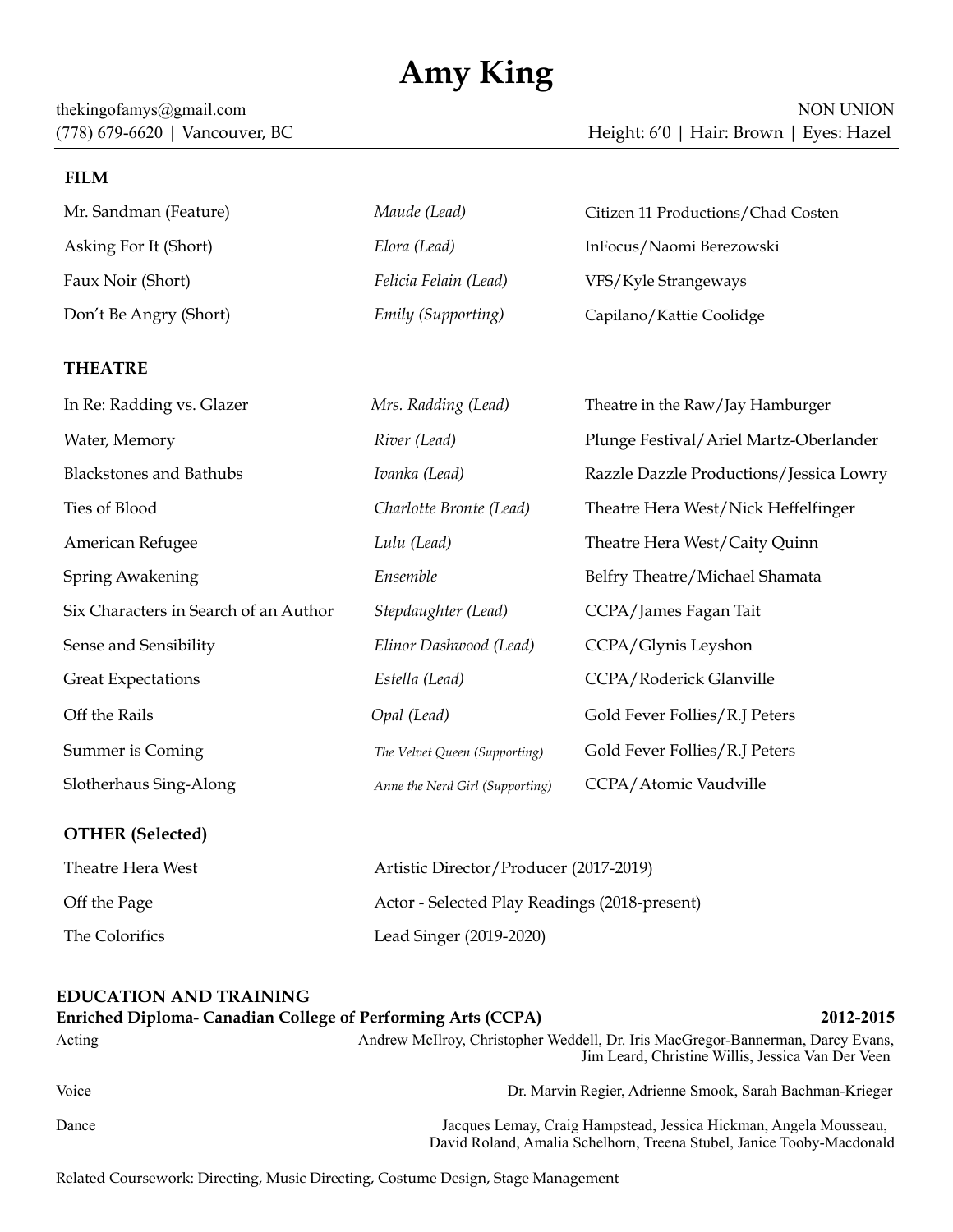# **Amy King**

#### **FILM**

| Mr. Sandman (Feature)  | Maude (Lead)          | Citizen 11 Productions/Chad Costen |
|------------------------|-----------------------|------------------------------------|
| Asking For It (Short)  | Elora (Lead)          | InFocus/Naomi Berezowski           |
| Faux Noir (Short)      | Felicia Felain (Lead) | VFS/Kyle Strangeways               |
| Don't Be Angry (Short) | Emily (Supporting)    | Capilano/Kattie Coolidge           |

### **THEATRE**

| In Re: Radding vs. Glazer             | Mrs. Radding (Lead)             | Theatre in the Raw/Jay Hamburger        |
|---------------------------------------|---------------------------------|-----------------------------------------|
| Water, Memory                         | River (Lead)                    | Plunge Festival/Ariel Martz-Oberlander  |
| <b>Blackstones and Bathubs</b>        | Ivanka (Lead)                   | Razzle Dazzle Productions/Jessica Lowry |
| Ties of Blood                         | Charlotte Bronte (Lead)         | Theatre Hera West/Nick Heffelfinger     |
| American Refugee                      | Lulu (Lead)                     | Theatre Hera West/Caity Quinn           |
| <b>Spring Awakening</b>               | Ensemble                        | Belfry Theatre/Michael Shamata          |
| Six Characters in Search of an Author | Stepdaughter (Lead)             | CCPA/James Fagan Tait                   |
| Sense and Sensibility                 | Elinor Dashwood (Lead)          | CCPA/Glynis Leyshon                     |
| <b>Great Expectations</b>             | Estella (Lead)                  | CCPA/Roderick Glanville                 |
| Off the Rails                         | Opal (Lead)                     | Gold Fever Follies/R.J Peters           |
| <b>Summer is Coming</b>               | The Velvet Queen (Supporting)   | Gold Fever Follies/R.J Peters           |
| Slotherhaus Sing-Along                | Anne the Nerd Girl (Supporting) | CCPA/Atomic Vaudville                   |
|                                       |                                 |                                         |

#### **OTHER (Selected)**

| Theatre Hera West | Artistic Director/Producer (2017-2019)        |
|-------------------|-----------------------------------------------|
| Off the Page      | Actor - Selected Play Readings (2018-present) |
| The Colorifics    | Lead Singer (2019-2020)                       |

## **EDUCATION AND TRAINING Enriched Diploma- Canadian College of Performing Arts (CCPA) 2012-2015**

| Acting | Andrew McIlroy, Christopher Weddell, Dr. Iris MacGregor-Bannerman, Darcy Evans,<br>Jim Leard, Christine Willis, Jessica Van Der Veen       |
|--------|--------------------------------------------------------------------------------------------------------------------------------------------|
| Voice  | Dr. Marvin Regier, Adrienne Smook, Sarah Bachman-Krieger                                                                                   |
| Dance  | Jacques Lemay, Craig Hampstead, Jessica Hickman, Angela Mousseau,<br>David Roland, Amalia Schelhorn, Treena Stubel, Janice Tooby-Macdonald |